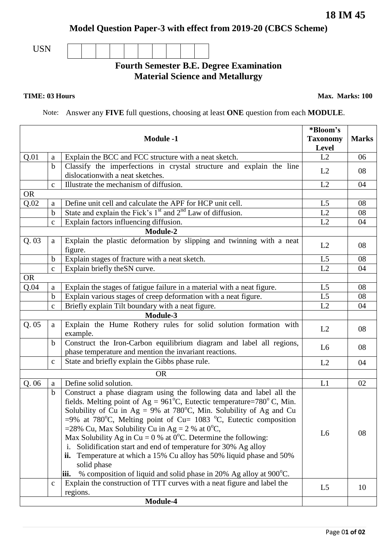**Model Question Paper-3 with effect from 2019-20 (CBCS Scheme)**

USN

## **Fourth Semester B.E. Degree Examination Material Science and Metallurgy**

**TIME: 03 Hours Max. Marks: 100** 

Note: Answer any **FIVE** full questions, choosing at least **ONE** question from each **MODULE**.

|           |              | <b>Module -1</b>                                                                                                                                                                                                                                                                                                                                                                                                                                                                                                                                                                                                        | *Bloom's<br><b>Taxonomy</b><br><b>Level</b> | <b>Marks</b> |
|-----------|--------------|-------------------------------------------------------------------------------------------------------------------------------------------------------------------------------------------------------------------------------------------------------------------------------------------------------------------------------------------------------------------------------------------------------------------------------------------------------------------------------------------------------------------------------------------------------------------------------------------------------------------------|---------------------------------------------|--------------|
| Q.01      | $\rm{a}$     | Explain the BCC and FCC structure with a neat sketch.                                                                                                                                                                                                                                                                                                                                                                                                                                                                                                                                                                   | L2                                          | 06           |
|           | $\mathbf b$  | Classify the imperfections in crystal structure and explain the line<br>dislocation with a neat sketches.                                                                                                                                                                                                                                                                                                                                                                                                                                                                                                               | L2                                          | 08           |
|           | $\mathbf{c}$ | Illustrate the mechanism of diffusion.                                                                                                                                                                                                                                                                                                                                                                                                                                                                                                                                                                                  | L2                                          | 04           |
| <b>OR</b> |              |                                                                                                                                                                                                                                                                                                                                                                                                                                                                                                                                                                                                                         |                                             |              |
| Q.02      | a            | Define unit cell and calculate the APF for HCP unit cell.                                                                                                                                                                                                                                                                                                                                                                                                                                                                                                                                                               | L <sub>5</sub>                              | 08           |
|           | $\mathbf b$  | State and explain the Fick's 1 <sup>st</sup> and 2 <sup>nd</sup> Law of diffusion.                                                                                                                                                                                                                                                                                                                                                                                                                                                                                                                                      | L2                                          | 08           |
|           | $\mathbf C$  | Explain factors influencing diffusion.                                                                                                                                                                                                                                                                                                                                                                                                                                                                                                                                                                                  | L2                                          | 04           |
|           |              | Module-2                                                                                                                                                                                                                                                                                                                                                                                                                                                                                                                                                                                                                |                                             |              |
| Q.03      | a            | Explain the plastic deformation by slipping and twinning with a neat<br>figure.                                                                                                                                                                                                                                                                                                                                                                                                                                                                                                                                         | L2                                          | 08           |
|           | $\mathbf b$  | Explain stages of fracture with a neat sketch.                                                                                                                                                                                                                                                                                                                                                                                                                                                                                                                                                                          | L <sub>5</sub>                              | 08           |
|           | $\mathbf c$  | Explain briefly the SN curve.                                                                                                                                                                                                                                                                                                                                                                                                                                                                                                                                                                                           | L2                                          | 04           |
| <b>OR</b> |              |                                                                                                                                                                                                                                                                                                                                                                                                                                                                                                                                                                                                                         |                                             |              |
| Q.04      | a            | Explain the stages of fatigue failure in a material with a neat figure.                                                                                                                                                                                                                                                                                                                                                                                                                                                                                                                                                 | L <sub>5</sub>                              | 08           |
|           | $\mathbf b$  | Explain various stages of creep deformation with a neat figure.                                                                                                                                                                                                                                                                                                                                                                                                                                                                                                                                                         | L <sub>5</sub>                              | 08           |
|           | $\mathbf{c}$ | Briefly explain Tilt boundary with a neat figure.                                                                                                                                                                                                                                                                                                                                                                                                                                                                                                                                                                       | L2                                          | 04           |
| Module-3  |              |                                                                                                                                                                                                                                                                                                                                                                                                                                                                                                                                                                                                                         |                                             |              |
| Q.05      | a            | Explain the Hume Rothery rules for solid solution formation with<br>example.                                                                                                                                                                                                                                                                                                                                                                                                                                                                                                                                            | L2                                          | 08           |
|           | b            | Construct the Iron-Carbon equilibrium diagram and label all regions,<br>phase temperature and mention the invariant reactions.                                                                                                                                                                                                                                                                                                                                                                                                                                                                                          | L <sub>6</sub>                              | 08           |
|           | $\mathbf{C}$ | State and briefly explain the Gibbs phase rule.                                                                                                                                                                                                                                                                                                                                                                                                                                                                                                                                                                         | L2                                          | 04           |
|           |              | <b>OR</b>                                                                                                                                                                                                                                                                                                                                                                                                                                                                                                                                                                                                               |                                             |              |
| Q.06      | $\rm{a}$     | Define solid solution.                                                                                                                                                                                                                                                                                                                                                                                                                                                                                                                                                                                                  | L1                                          | 02           |
|           | $\mathbf b$  | Construct a phase diagram using the following data and label all the                                                                                                                                                                                                                                                                                                                                                                                                                                                                                                                                                    |                                             |              |
|           |              | fields. Melting point of Ag = $961^{\circ}$ C, Eutectic temperature=780°C, Min.<br>Solubility of Cu in $Ag = 9\%$ at 780°C, Min. Solubility of Ag and Cu<br>$=$ 9% at 780°C, Melting point of Cu= 1083 °C, Eutectic composition<br>=28% Cu, Max Solubility Cu in Ag = 2 % at $0^{\circ}$ C,<br>Max Solubility Ag in Cu = 0 % at 0 <sup>o</sup> C. Determine the following:<br>Solidification start and end of temperature for 30% Ag alloy<br>i.<br>Temperature at which a 15% Cu alloy has 50% liquid phase and 50%<br>ii.<br>solid phase<br>% composition of liquid and solid phase in 20% Ag alloy at 900°C.<br>iii. | L <sub>6</sub>                              | 08           |
|           | $\mathbf C$  | Explain the construction of TTT curves with a neat figure and label the<br>regions.<br>Module-4                                                                                                                                                                                                                                                                                                                                                                                                                                                                                                                         | L <sub>5</sub>                              | 10           |
|           |              |                                                                                                                                                                                                                                                                                                                                                                                                                                                                                                                                                                                                                         |                                             |              |